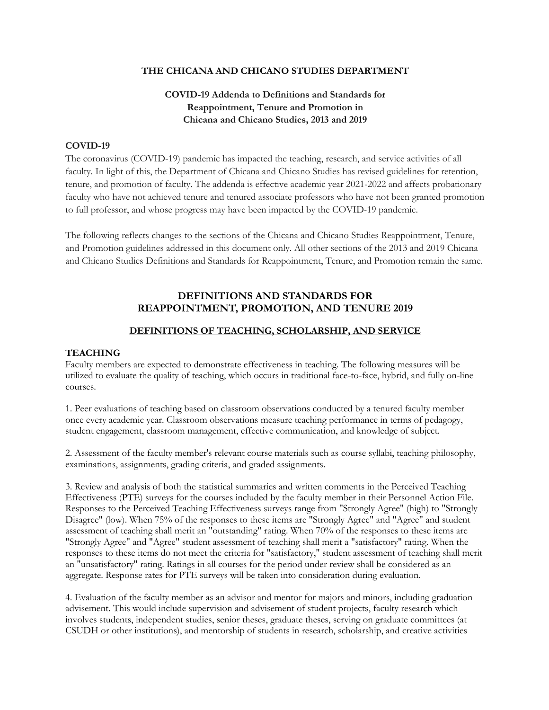### **THE CHICANA AND CHICANO STUDIES DEPARTMENT**

# **COVID-19 Addenda to Definitions and Standards for Reappointment, Tenure and Promotion in Chicana and Chicano Studies, 2013 and 2019**

### **COVID-19**

The coronavirus (COVID-19) pandemic has impacted the teaching, research, and service activities of all faculty. In light of this, the Department of Chicana and Chicano Studies has revised guidelines for retention, tenure, and promotion of faculty. The addenda is effective academic year 2021-2022 and affects probationary faculty who have not achieved tenure and tenured associate professors who have not been granted promotion to full professor, and whose progress may have been impacted by the COVID-19 pandemic.

The following reflects changes to the sections of the Chicana and Chicano Studies Reappointment, Tenure, and Promotion guidelines addressed in this document only. All other sections of the 2013 and 2019 Chicana and Chicano Studies Definitions and Standards for Reappointment, Tenure, and Promotion remain the same.

# **DEFINITIONS AND STANDARDS FOR REAPPOINTMENT, PROMOTION, AND TENURE 2019**

## **DEFINITIONS OF TEACHING, SCHOLARSHIP, AND SERVICE**

### **TEACHING**

Faculty members are expected to demonstrate effectiveness in teaching. The following measures will be utilized to evaluate the quality of teaching, which occurs in traditional face-to-face, hybrid, and fully on-line courses.

1. Peer evaluations of teaching based on classroom observations conducted by a tenured faculty member once every academic year. Classroom observations measure teaching performance in terms of pedagogy, student engagement, classroom management, effective communication, and knowledge of subject.

2. Assessment of the faculty member's relevant course materials such as course syllabi, teaching philosophy, examinations, assignments, grading criteria, and graded assignments.

3. Review and analysis of both the statistical summaries and written comments in the Perceived Teaching Effectiveness (PTE) surveys for the courses included by the faculty member in their Personnel Action File. Responses to the Perceived Teaching Effectiveness surveys range from "Strongly Agree" (high) to "Strongly Disagree" (low). When 75% of the responses to these items are "Strongly Agree" and "Agree" and student assessment of teaching shall merit an "outstanding" rating. When 70% of the responses to these items are "Strongly Agree" and "Agree" student assessment of teaching shall merit a "satisfactory" rating. When the responses to these items do not meet the criteria for "satisfactory," student assessment of teaching shall merit an "unsatisfactory" rating. Ratings in all courses for the period under review shall be considered as an aggregate. Response rates for PTE surveys will be taken into consideration during evaluation.

4. Evaluation of the faculty member as an advisor and mentor for majors and minors, including graduation advisement. This would include supervision and advisement of student projects, faculty research which involves students, independent studies, senior theses, graduate theses, serving on graduate committees (at CSUDH or other institutions), and mentorship of students in research, scholarship, and creative activities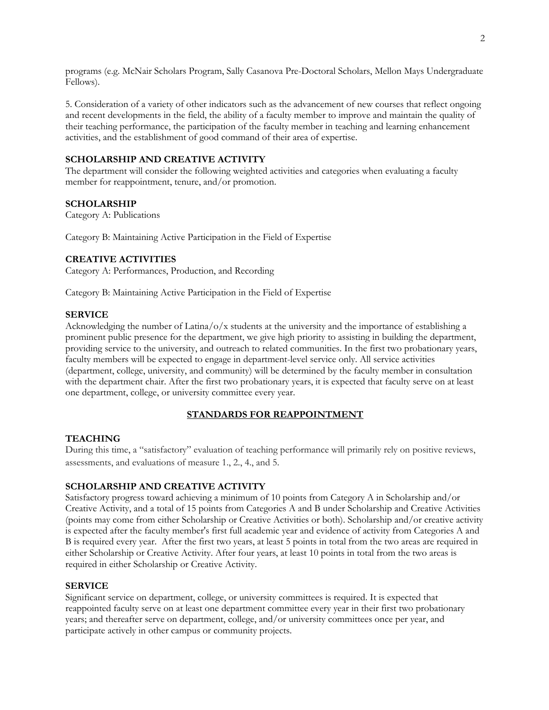programs (e.g. McNair Scholars Program, Sally Casanova Pre-Doctoral Scholars, Mellon Mays Undergraduate Fellows).

5. Consideration of a variety of other indicators such as the advancement of new courses that reflect ongoing and recent developments in the field, the ability of a faculty member to improve and maintain the quality of their teaching performance, the participation of the faculty member in teaching and learning enhancement activities, and the establishment of good command of their area of expertise.

## **SCHOLARSHIP AND CREATIVE ACTIVITY**

The department will consider the following weighted activities and categories when evaluating a faculty member for reappointment, tenure, and/or promotion.

#### **SCHOLARSHIP**

Category A: Publications

Category B: Maintaining Active Participation in the Field of Expertise

### **CREATIVE ACTIVITIES**

Category A: Performances, Production, and Recording

Category B: Maintaining Active Participation in the Field of Expertise

#### **SERVICE**

Acknowledging the number of Latina/o/x students at the university and the importance of establishing a prominent public presence for the department, we give high priority to assisting in building the department, providing service to the university, and outreach to related communities. In the first two probationary years, faculty members will be expected to engage in department-level service only. All service activities (department, college, university, and community) will be determined by the faculty member in consultation with the department chair. After the first two probationary years, it is expected that faculty serve on at least one department, college, or university committee every year.

#### **STANDARDS FOR REAPPOINTMENT**

#### **TEACHING**

During this time, a "satisfactory" evaluation of teaching performance will primarily rely on positive reviews, assessments, and evaluations of measure 1., 2., 4., and 5.

#### **SCHOLARSHIP AND CREATIVE ACTIVITY**

Satisfactory progress toward achieving a minimum of 10 points from Category A in Scholarship and/or Creative Activity, and a total of 15 points from Categories A and B under Scholarship and Creative Activities (points may come from either Scholarship or Creative Activities or both). Scholarship and/or creative activity is expected after the faculty member's first full academic year and evidence of activity from Categories A and B is required every year. After the first two years, at least 5 points in total from the two areas are required in either Scholarship or Creative Activity. After four years, at least 10 points in total from the two areas is required in either Scholarship or Creative Activity.

#### **SERVICE**

Significant service on department, college, or university committees is required. It is expected that reappointed faculty serve on at least one department committee every year in their first two probationary years; and thereafter serve on department, college, and/or university committees once per year, and participate actively in other campus or community projects.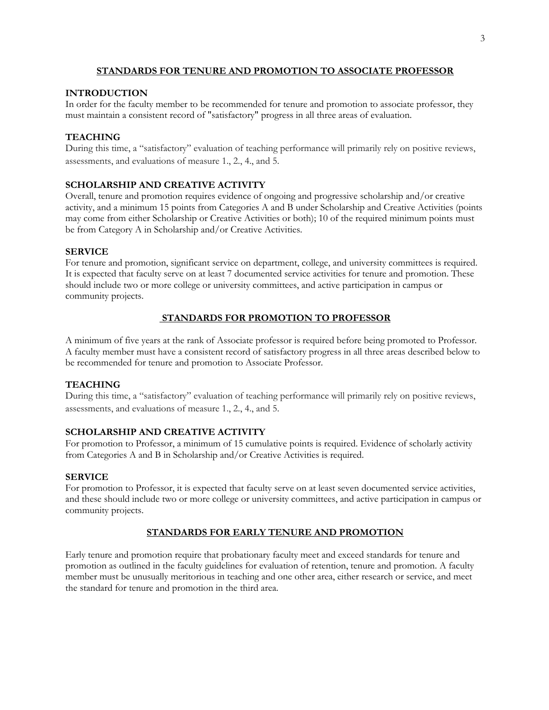## **STANDARDS FOR TENURE AND PROMOTION TO ASSOCIATE PROFESSOR**

## **INTRODUCTION**

In order for the faculty member to be recommended for tenure and promotion to associate professor, they must maintain a consistent record of "satisfactory" progress in all three areas of evaluation.

# **TEACHING**

During this time, a "satisfactory" evaluation of teaching performance will primarily rely on positive reviews, assessments, and evaluations of measure 1., 2., 4., and 5.

# **SCHOLARSHIP AND CREATIVE ACTIVITY**

Overall, tenure and promotion requires evidence of ongoing and progressive scholarship and/or creative activity, and a minimum 15 points from Categories A and B under Scholarship and Creative Activities (points may come from either Scholarship or Creative Activities or both); 10 of the required minimum points must be from Category A in Scholarship and/or Creative Activities.

# **SERVICE**

For tenure and promotion, significant service on department, college, and university committees is required. It is expected that faculty serve on at least 7 documented service activities for tenure and promotion. These should include two or more college or university committees, and active participation in campus or community projects.

### **STANDARDS FOR PROMOTION TO PROFESSOR**

A minimum of five years at the rank of Associate professor is required before being promoted to Professor. A faculty member must have a consistent record of satisfactory progress in all three areas described below to be recommended for tenure and promotion to Associate Professor.

### **TEACHING**

During this time, a "satisfactory" evaluation of teaching performance will primarily rely on positive reviews, assessments, and evaluations of measure 1., 2., 4., and 5.

### **SCHOLARSHIP AND CREATIVE ACTIVITY**

For promotion to Professor, a minimum of 15 cumulative points is required. Evidence of scholarly activity from Categories A and B in Scholarship and/or Creative Activities is required.

#### **SERVICE**

For promotion to Professor, it is expected that faculty serve on at least seven documented service activities, and these should include two or more college or university committees, and active participation in campus or community projects.

# **STANDARDS FOR EARLY TENURE AND PROMOTION**

Early tenure and promotion require that probationary faculty meet and exceed standards for tenure and promotion as outlined in the faculty guidelines for evaluation of retention, tenure and promotion. A faculty member must be unusually meritorious in teaching and one other area, either research or service, and meet the standard for tenure and promotion in the third area.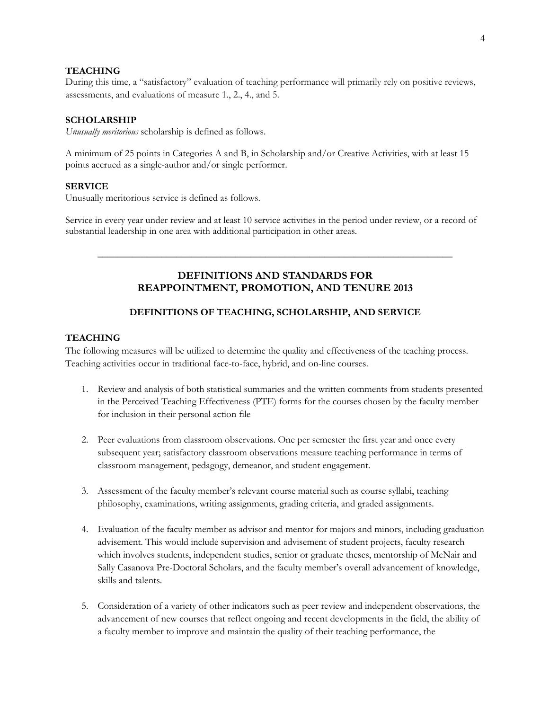#### **TEACHING**

During this time, a "satisfactory" evaluation of teaching performance will primarily rely on positive reviews, assessments, and evaluations of measure 1., 2., 4., and 5.

### **SCHOLARSHIP**

*Unusually meritorious* scholarship is defined as follows.

A minimum of 25 points in Categories A and B, in Scholarship and/or Creative Activities, with at least 15 points accrued as a single-author and/or single performer.

#### **SERVICE**

Unusually meritorious service is defined as follows.

Service in every year under review and at least 10 service activities in the period under review, or a record of substantial leadership in one area with additional participation in other areas.

# **DEFINITIONS AND STANDARDS FOR REAPPOINTMENT, PROMOTION, AND TENURE 2013**

\_\_\_\_\_\_\_\_\_\_\_\_\_\_\_\_\_\_\_\_\_\_\_\_\_\_\_\_\_\_\_\_\_\_\_\_\_\_\_\_\_\_\_\_\_\_\_\_\_\_\_\_\_\_\_\_\_\_\_\_\_\_\_\_\_\_\_\_\_\_\_\_

### **DEFINITIONS OF TEACHING, SCHOLARSHIP, AND SERVICE**

### **TEACHING**

The following measures will be utilized to determine the quality and effectiveness of the teaching process. Teaching activities occur in traditional face-to-face, hybrid, and on-line courses.

- 1. Review and analysis of both statistical summaries and the written comments from students presented in the Perceived Teaching Effectiveness (PTE) forms for the courses chosen by the faculty member for inclusion in their personal action file
- 2. Peer evaluations from classroom observations. One per semester the first year and once every subsequent year; satisfactory classroom observations measure teaching performance in terms of classroom management, pedagogy, demeanor, and student engagement.
- 3. Assessment of the faculty member's relevant course material such as course syllabi, teaching philosophy, examinations, writing assignments, grading criteria, and graded assignments.
- 4. Evaluation of the faculty member as advisor and mentor for majors and minors, including graduation advisement. This would include supervision and advisement of student projects, faculty research which involves students, independent studies, senior or graduate theses, mentorship of McNair and Sally Casanova Pre-Doctoral Scholars, and the faculty member's overall advancement of knowledge, skills and talents.
- 5. Consideration of a variety of other indicators such as peer review and independent observations, the advancement of new courses that reflect ongoing and recent developments in the field, the ability of a faculty member to improve and maintain the quality of their teaching performance, the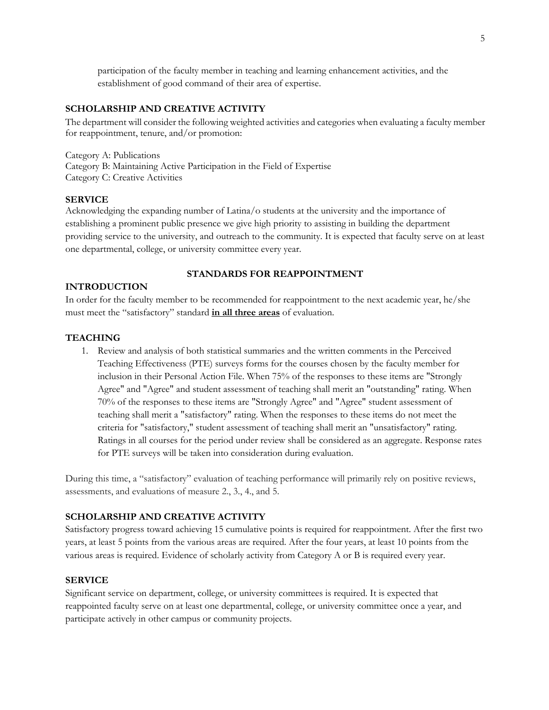participation of the faculty member in teaching and learning enhancement activities, and the establishment of good command of their area of expertise.

#### **SCHOLARSHIP AND CREATIVE ACTIVITY**

The department will consider the following weighted activities and categories when evaluating a faculty member for reappointment, tenure, and/or promotion:

Category A: Publications Category B: Maintaining Active Participation in the Field of Expertise Category C: Creative Activities

#### **SERVICE**

Acknowledging the expanding number of Latina/o students at the university and the importance of establishing a prominent public presence we give high priority to assisting in building the department providing service to the university, and outreach to the community. It is expected that faculty serve on at least one departmental, college, or university committee every year.

## **STANDARDS FOR REAPPOINTMENT**

### **INTRODUCTION**

In order for the faculty member to be recommended for reappointment to the next academic year, he/she must meet the "satisfactory" standard **in all three areas** of evaluation.

#### **TEACHING**

1. Review and analysis of both statistical summaries and the written comments in the Perceived Teaching Effectiveness (PTE) surveys forms for the courses chosen by the faculty member for inclusion in their Personal Action File. When 75% of the responses to these items are "Strongly Agree" and "Agree" and student assessment of teaching shall merit an "outstanding" rating. When 70% of the responses to these items are "Strongly Agree" and "Agree" student assessment of teaching shall merit a "satisfactory" rating. When the responses to these items do not meet the criteria for "satisfactory," student assessment of teaching shall merit an "unsatisfactory" rating. Ratings in all courses for the period under review shall be considered as an aggregate. Response rates for PTE surveys will be taken into consideration during evaluation.

During this time, a "satisfactory" evaluation of teaching performance will primarily rely on positive reviews, assessments, and evaluations of measure 2., 3., 4., and 5.

#### **SCHOLARSHIP AND CREATIVE ACTIVITY**

Satisfactory progress toward achieving 15 cumulative points is required for reappointment. After the first two years, at least 5 points from the various areas are required. After the four years, at least 10 points from the various areas is required. Evidence of scholarly activity from Category A or B is required every year.

#### **SERVICE**

Significant service on department, college, or university committees is required. It is expected that reappointed faculty serve on at least one departmental, college, or university committee once a year, and participate actively in other campus or community projects.